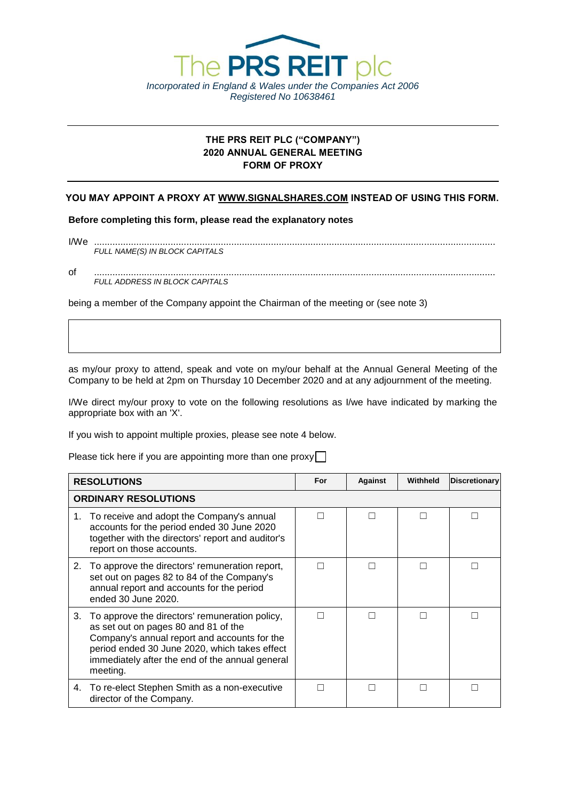

# **THE PRS REIT PLC ("COMPANY") 2020 ANNUAL GENERAL MEETING FORM OF PROXY**

# **YOU MAY APPOINT A PROXY AT WWW.SIGNALSHARES.COM INSTEAD OF USING THIS FORM.**

**Before completing this form, please read the explanatory notes**

| I/We |                                |
|------|--------------------------------|
|      | FULL NAME(S) IN BLOCK CAPITALS |
|      |                                |

of ........................................................................................................................................................ *FULL ADDRESS IN BLOCK CAPITALS*

being a member of the Company appoint the Chairman of the meeting or (see note 3)

as my/our proxy to attend, speak and vote on my/our behalf at the Annual General Meeting of the Company to be held at 2pm on Thursday 10 December 2020 and at any adjournment of the meeting.

I/We direct my/our proxy to vote on the following resolutions as I/we have indicated by marking the appropriate box with an 'X'.

If you wish to appoint multiple proxies, please see note 4 below.

Please tick here if you are appointing more than one proxy

| <b>RESOLUTIONS</b> |                                                                                                                                                                                                                                                           | For | <b>Against</b> | Withheld | <b>Discretionary</b> |
|--------------------|-----------------------------------------------------------------------------------------------------------------------------------------------------------------------------------------------------------------------------------------------------------|-----|----------------|----------|----------------------|
|                    | <b>ORDINARY RESOLUTIONS</b>                                                                                                                                                                                                                               |     |                |          |                      |
| 1.                 | To receive and adopt the Company's annual<br>accounts for the period ended 30 June 2020<br>together with the directors' report and auditor's<br>report on those accounts.                                                                                 |     |                |          |                      |
|                    | 2. To approve the directors' remuneration report,<br>set out on pages 82 to 84 of the Company's<br>annual report and accounts for the period<br>ended 30 June 2020.                                                                                       |     |                |          |                      |
|                    | 3. To approve the directors' remuneration policy,<br>as set out on pages 80 and 81 of the<br>Company's annual report and accounts for the<br>period ended 30 June 2020, which takes effect<br>immediately after the end of the annual general<br>meeting. |     |                |          |                      |
|                    | 4. To re-elect Stephen Smith as a non-executive<br>director of the Company.                                                                                                                                                                               |     |                |          |                      |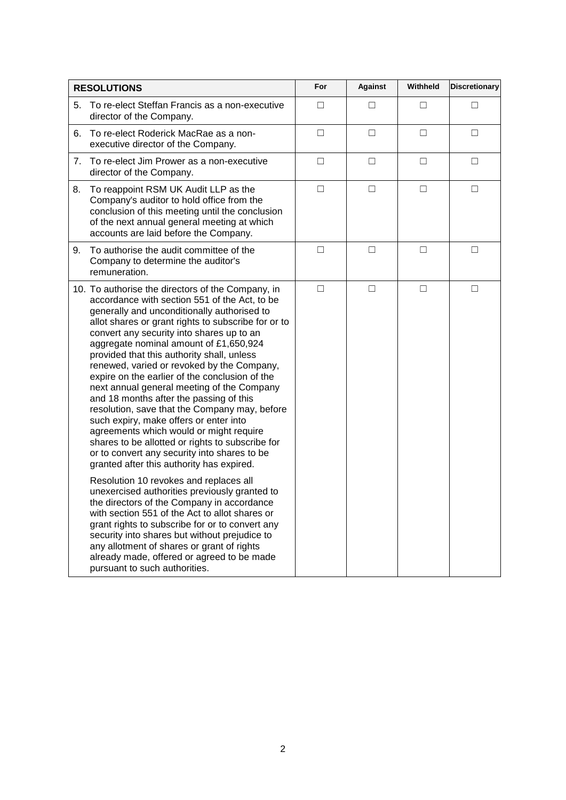| <b>RESOLUTIONS</b>                                                                                                                                                                                                                                                                                                                                                                                                                                                                                                                                                                                                                                                                                                                                                                                                                                                                                                                                                                                                                                                                                                                                                                                                                                        | For    | <b>Against</b> | Withheld | <b>Discretionary</b> |
|-----------------------------------------------------------------------------------------------------------------------------------------------------------------------------------------------------------------------------------------------------------------------------------------------------------------------------------------------------------------------------------------------------------------------------------------------------------------------------------------------------------------------------------------------------------------------------------------------------------------------------------------------------------------------------------------------------------------------------------------------------------------------------------------------------------------------------------------------------------------------------------------------------------------------------------------------------------------------------------------------------------------------------------------------------------------------------------------------------------------------------------------------------------------------------------------------------------------------------------------------------------|--------|----------------|----------|----------------------|
| To re-elect Steffan Francis as a non-executive<br>5.<br>director of the Company.                                                                                                                                                                                                                                                                                                                                                                                                                                                                                                                                                                                                                                                                                                                                                                                                                                                                                                                                                                                                                                                                                                                                                                          | $\Box$ | $\Box$         | $\Box$   | □                    |
| To re-elect Roderick MacRae as a non-<br>6.<br>executive director of the Company.                                                                                                                                                                                                                                                                                                                                                                                                                                                                                                                                                                                                                                                                                                                                                                                                                                                                                                                                                                                                                                                                                                                                                                         | $\Box$ | $\Box$         | $\Box$   | $\Box$               |
| 7 <sub>1</sub><br>To re-elect Jim Prower as a non-executive<br>director of the Company.                                                                                                                                                                                                                                                                                                                                                                                                                                                                                                                                                                                                                                                                                                                                                                                                                                                                                                                                                                                                                                                                                                                                                                   | $\Box$ | $\Box$         | □        | □                    |
| To reappoint RSM UK Audit LLP as the<br>8.<br>Company's auditor to hold office from the<br>conclusion of this meeting until the conclusion<br>of the next annual general meeting at which<br>accounts are laid before the Company.                                                                                                                                                                                                                                                                                                                                                                                                                                                                                                                                                                                                                                                                                                                                                                                                                                                                                                                                                                                                                        | $\Box$ | $\Box$         | □        | □                    |
| 9.<br>To authorise the audit committee of the<br>Company to determine the auditor's<br>remuneration.                                                                                                                                                                                                                                                                                                                                                                                                                                                                                                                                                                                                                                                                                                                                                                                                                                                                                                                                                                                                                                                                                                                                                      | $\Box$ | $\Box$         | $\Box$   | П                    |
| 10. To authorise the directors of the Company, in<br>accordance with section 551 of the Act, to be<br>generally and unconditionally authorised to<br>allot shares or grant rights to subscribe for or to<br>convert any security into shares up to an<br>aggregate nominal amount of £1,650,924<br>provided that this authority shall, unless<br>renewed, varied or revoked by the Company,<br>expire on the earlier of the conclusion of the<br>next annual general meeting of the Company<br>and 18 months after the passing of this<br>resolution, save that the Company may, before<br>such expiry, make offers or enter into<br>agreements which would or might require<br>shares to be allotted or rights to subscribe for<br>or to convert any security into shares to be<br>granted after this authority has expired.<br>Resolution 10 revokes and replaces all<br>unexercised authorities previously granted to<br>the directors of the Company in accordance<br>with section 551 of the Act to allot shares or<br>grant rights to subscribe for or to convert any<br>security into shares but without prejudice to<br>any allotment of shares or grant of rights<br>already made, offered or agreed to be made<br>pursuant to such authorities. | П      | $\Box$         | $\Box$   | П                    |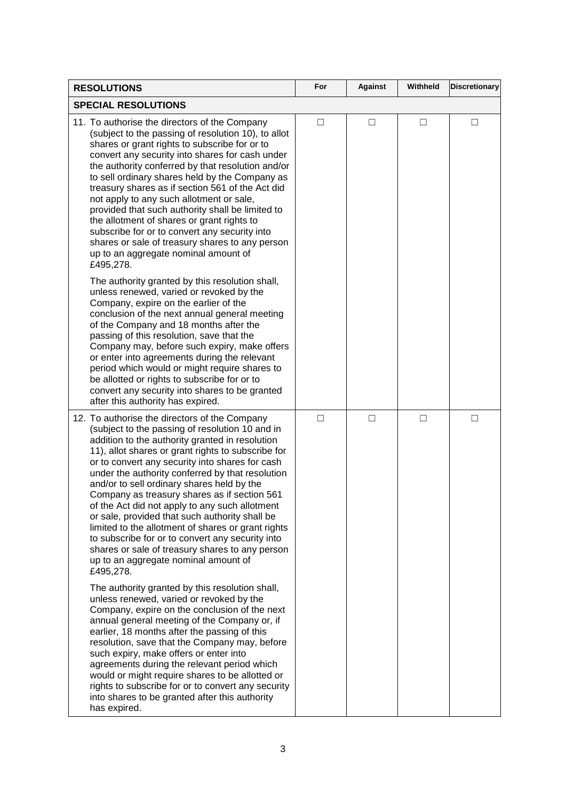| <b>RESOLUTIONS</b>                                                                                                                                                                                                                                                                                                                                                                                                                                                                                                                                                                                                                                                                                                                   | For    | <b>Against</b> | Withheld | <b>Discretionary</b> |
|--------------------------------------------------------------------------------------------------------------------------------------------------------------------------------------------------------------------------------------------------------------------------------------------------------------------------------------------------------------------------------------------------------------------------------------------------------------------------------------------------------------------------------------------------------------------------------------------------------------------------------------------------------------------------------------------------------------------------------------|--------|----------------|----------|----------------------|
| <b>SPECIAL RESOLUTIONS</b>                                                                                                                                                                                                                                                                                                                                                                                                                                                                                                                                                                                                                                                                                                           |        |                |          |                      |
| 11. To authorise the directors of the Company<br>(subject to the passing of resolution 10), to allot<br>shares or grant rights to subscribe for or to<br>convert any security into shares for cash under<br>the authority conferred by that resolution and/or<br>to sell ordinary shares held by the Company as<br>treasury shares as if section 561 of the Act did<br>not apply to any such allotment or sale,<br>provided that such authority shall be limited to<br>the allotment of shares or grant rights to<br>subscribe for or to convert any security into<br>shares or sale of treasury shares to any person<br>up to an aggregate nominal amount of<br>£495,278.                                                           | $\Box$ | $\Box$         | □        | □                    |
| The authority granted by this resolution shall,<br>unless renewed, varied or revoked by the<br>Company, expire on the earlier of the<br>conclusion of the next annual general meeting<br>of the Company and 18 months after the<br>passing of this resolution, save that the<br>Company may, before such expiry, make offers<br>or enter into agreements during the relevant<br>period which would or might require shares to<br>be allotted or rights to subscribe for or to<br>convert any security into shares to be granted<br>after this authority has expired.                                                                                                                                                                 |        |                |          |                      |
| 12. To authorise the directors of the Company<br>(subject to the passing of resolution 10 and in<br>addition to the authority granted in resolution<br>11), allot shares or grant rights to subscribe for<br>or to convert any security into shares for cash<br>under the authority conferred by that resolution<br>and/or to sell ordinary shares held by the<br>Company as treasury shares as if section 561<br>of the Act did not apply to any such allotment<br>or sale, provided that such authority shall be<br>limited to the allotment of shares or grant rights<br>to subscribe for or to convert any security into<br>shares or sale of treasury shares to any person<br>up to an aggregate nominal amount of<br>£495,278. | $\Box$ | $\Box$         | □        | □                    |
| The authority granted by this resolution shall,<br>unless renewed, varied or revoked by the<br>Company, expire on the conclusion of the next<br>annual general meeting of the Company or, if<br>earlier, 18 months after the passing of this<br>resolution, save that the Company may, before<br>such expiry, make offers or enter into<br>agreements during the relevant period which<br>would or might require shares to be allotted or<br>rights to subscribe for or to convert any security<br>into shares to be granted after this authority<br>has expired.                                                                                                                                                                    |        |                |          |                      |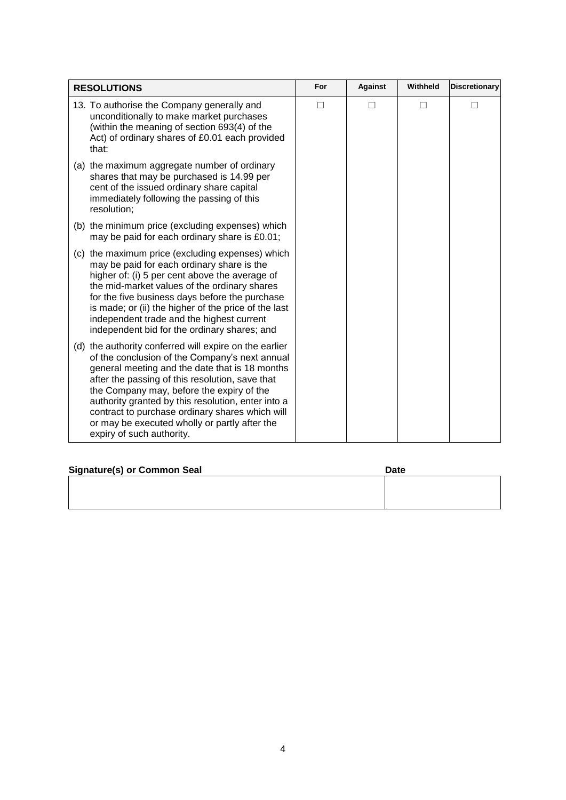| <b>RESOLUTIONS</b>                                                                                                                                                                                                                                                                                                                                                                                                                                | For    | Against | Withheld | <b>Discretionary</b> |
|---------------------------------------------------------------------------------------------------------------------------------------------------------------------------------------------------------------------------------------------------------------------------------------------------------------------------------------------------------------------------------------------------------------------------------------------------|--------|---------|----------|----------------------|
| 13. To authorise the Company generally and<br>unconditionally to make market purchases<br>(within the meaning of section 693(4) of the<br>Act) of ordinary shares of £0.01 each provided<br>that:                                                                                                                                                                                                                                                 | $\Box$ | $\Box$  | П        | □                    |
| (a) the maximum aggregate number of ordinary<br>shares that may be purchased is 14.99 per<br>cent of the issued ordinary share capital<br>immediately following the passing of this<br>resolution;                                                                                                                                                                                                                                                |        |         |          |                      |
| (b) the minimum price (excluding expenses) which<br>may be paid for each ordinary share is £0.01;                                                                                                                                                                                                                                                                                                                                                 |        |         |          |                      |
| (c) the maximum price (excluding expenses) which<br>may be paid for each ordinary share is the<br>higher of: (i) 5 per cent above the average of<br>the mid-market values of the ordinary shares<br>for the five business days before the purchase<br>is made; or (ii) the higher of the price of the last<br>independent trade and the highest current<br>independent bid for the ordinary shares; and                                           |        |         |          |                      |
| (d) the authority conferred will expire on the earlier<br>of the conclusion of the Company's next annual<br>general meeting and the date that is 18 months<br>after the passing of this resolution, save that<br>the Company may, before the expiry of the<br>authority granted by this resolution, enter into a<br>contract to purchase ordinary shares which will<br>or may be executed wholly or partly after the<br>expiry of such authority. |        |         |          |                      |

| <b>Signature(s) or Common Seal</b> | <b>Date</b> |
|------------------------------------|-------------|
|                                    |             |
|                                    |             |
|                                    |             |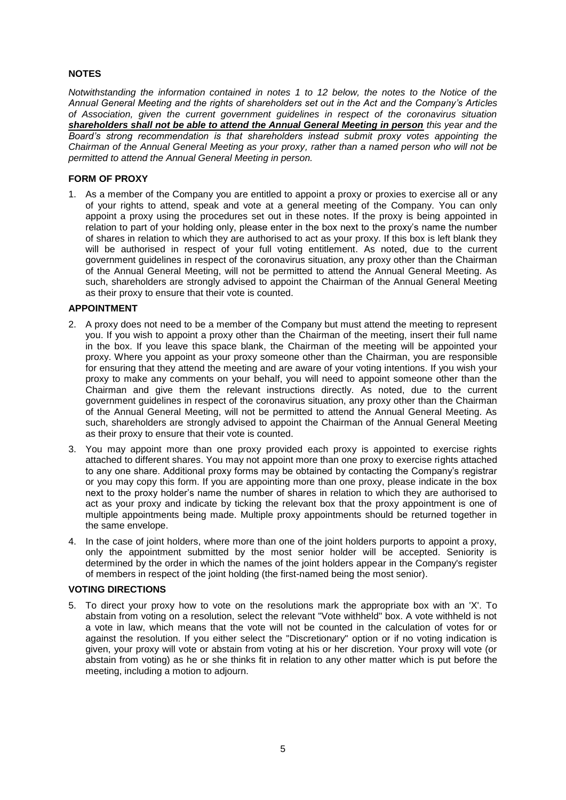# **NOTES**

*Notwithstanding the information contained in notes 1 to 12 below, the notes to the Notice of the Annual General Meeting and the rights of shareholders set out in the Act and the Company's Articles of Association, given the current government guidelines in respect of the coronavirus situation shareholders shall not be able to attend the Annual General Meeting in person this year and the Board's strong recommendation is that shareholders instead submit proxy votes appointing the Chairman of the Annual General Meeting as your proxy, rather than a named person who will not be permitted to attend the Annual General Meeting in person.* 

### **FORM OF PROXY**

1. As a member of the Company you are entitled to appoint a proxy or proxies to exercise all or any of your rights to attend, speak and vote at a general meeting of the Company. You can only appoint a proxy using the procedures set out in these notes. If the proxy is being appointed in relation to part of your holding only, please enter in the box next to the proxy's name the number of shares in relation to which they are authorised to act as your proxy. If this box is left blank they will be authorised in respect of your full voting entitlement. As noted, due to the current government guidelines in respect of the coronavirus situation, any proxy other than the Chairman of the Annual General Meeting, will not be permitted to attend the Annual General Meeting. As such, shareholders are strongly advised to appoint the Chairman of the Annual General Meeting as their proxy to ensure that their vote is counted.

# **APPOINTMENT**

- 2. A proxy does not need to be a member of the Company but must attend the meeting to represent you. If you wish to appoint a proxy other than the Chairman of the meeting, insert their full name in the box. If you leave this space blank, the Chairman of the meeting will be appointed your proxy. Where you appoint as your proxy someone other than the Chairman, you are responsible for ensuring that they attend the meeting and are aware of your voting intentions. If you wish your proxy to make any comments on your behalf, you will need to appoint someone other than the Chairman and give them the relevant instructions directly. As noted, due to the current government guidelines in respect of the coronavirus situation, any proxy other than the Chairman of the Annual General Meeting, will not be permitted to attend the Annual General Meeting. As such, shareholders are strongly advised to appoint the Chairman of the Annual General Meeting as their proxy to ensure that their vote is counted.
- 3. You may appoint more than one proxy provided each proxy is appointed to exercise rights attached to different shares. You may not appoint more than one proxy to exercise rights attached to any one share. Additional proxy forms may be obtained by contacting the Company's registrar or you may copy this form. If you are appointing more than one proxy, please indicate in the box next to the proxy holder's name the number of shares in relation to which they are authorised to act as your proxy and indicate by ticking the relevant box that the proxy appointment is one of multiple appointments being made. Multiple proxy appointments should be returned together in the same envelope.
- 4. In the case of joint holders, where more than one of the joint holders purports to appoint a proxy, only the appointment submitted by the most senior holder will be accepted. Seniority is determined by the order in which the names of the joint holders appear in the Company's register of members in respect of the joint holding (the first-named being the most senior).

### **VOTING DIRECTIONS**

5. To direct your proxy how to vote on the resolutions mark the appropriate box with an 'X'. To abstain from voting on a resolution, select the relevant "Vote withheld" box. A vote withheld is not a vote in law, which means that the vote will not be counted in the calculation of votes for or against the resolution. If you either select the "Discretionary" option or if no voting indication is given, your proxy will vote or abstain from voting at his or her discretion. Your proxy will vote (or abstain from voting) as he or she thinks fit in relation to any other matter which is put before the meeting, including a motion to adjourn.